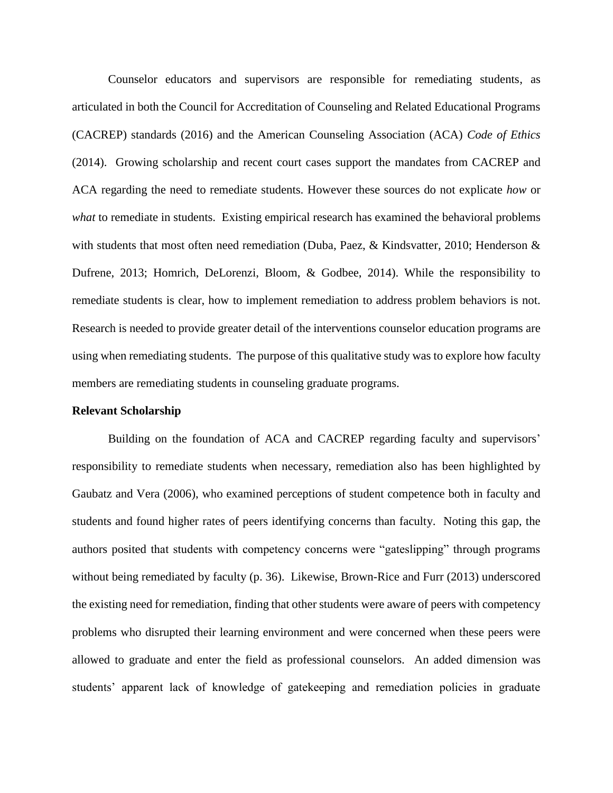Counselor educators and supervisors are responsible for remediating students, as articulated in both the Council for Accreditation of Counseling and Related Educational Programs (CACREP) standards (2016) and the American Counseling Association (ACA) *Code of Ethics* (2014). Growing scholarship and recent court cases support the mandates from CACREP and ACA regarding the need to remediate students. However these sources do not explicate *how* or *what* to remediate in students. Existing empirical research has examined the behavioral problems with students that most often need remediation (Duba, Paez, & Kindsvatter, 2010; Henderson & Dufrene, 2013; Homrich, DeLorenzi, Bloom, & Godbee, 2014). While the responsibility to remediate students is clear, how to implement remediation to address problem behaviors is not. Research is needed to provide greater detail of the interventions counselor education programs are using when remediating students. The purpose of this qualitative study was to explore how faculty members are remediating students in counseling graduate programs.

#### **Relevant Scholarship**

Building on the foundation of ACA and CACREP regarding faculty and supervisors' responsibility to remediate students when necessary, remediation also has been highlighted by Gaubatz and Vera (2006), who examined perceptions of student competence both in faculty and students and found higher rates of peers identifying concerns than faculty. Noting this gap, the authors posited that students with competency concerns were "gateslipping" through programs without being remediated by faculty (p. 36). Likewise, Brown-Rice and Furr (2013) underscored the existing need for remediation, finding that other students were aware of peers with competency problems who disrupted their learning environment and were concerned when these peers were allowed to graduate and enter the field as professional counselors. An added dimension was students' apparent lack of knowledge of gatekeeping and remediation policies in graduate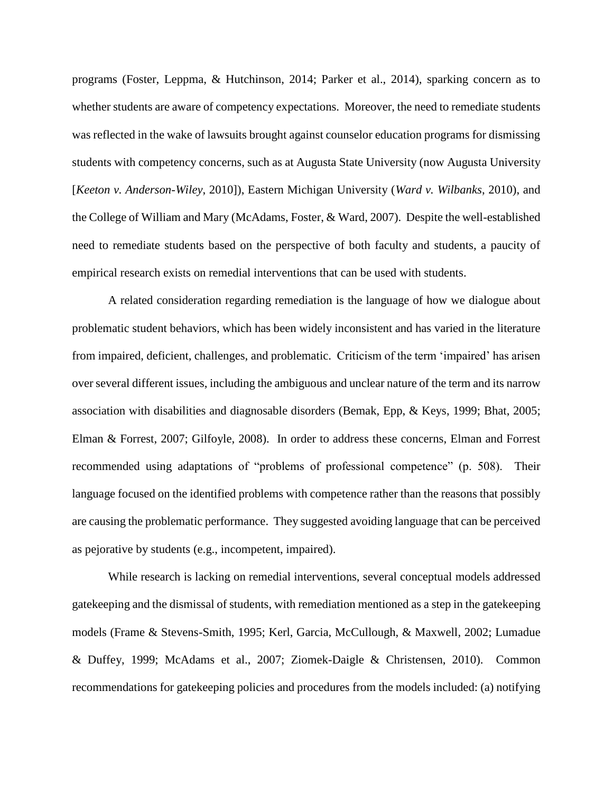programs (Foster, Leppma, & Hutchinson, 2014; Parker et al., 2014), sparking concern as to whether students are aware of competency expectations. Moreover, the need to remediate students was reflected in the wake of lawsuits brought against counselor education programs for dismissing students with competency concerns, such as at Augusta State University (now Augusta University [*Keeton v. Anderson-Wiley*, 2010]), Eastern Michigan University (*Ward v. Wilbanks*, 2010), and the College of William and Mary (McAdams, Foster, & Ward, 2007). Despite the well-established need to remediate students based on the perspective of both faculty and students, a paucity of empirical research exists on remedial interventions that can be used with students.

A related consideration regarding remediation is the language of how we dialogue about problematic student behaviors, which has been widely inconsistent and has varied in the literature from impaired, deficient, challenges, and problematic. Criticism of the term 'impaired' has arisen over several different issues, including the ambiguous and unclear nature of the term and its narrow association with disabilities and diagnosable disorders (Bemak, Epp, & Keys, 1999; Bhat, 2005; Elman & Forrest, 2007; Gilfoyle, 2008). In order to address these concerns, Elman and Forrest recommended using adaptations of "problems of professional competence" (p. 508). Their language focused on the identified problems with competence rather than the reasons that possibly are causing the problematic performance. They suggested avoiding language that can be perceived as pejorative by students (e.g., incompetent, impaired).

While research is lacking on remedial interventions, several conceptual models addressed gatekeeping and the dismissal of students, with remediation mentioned as a step in the gatekeeping models (Frame & Stevens-Smith, 1995; Kerl, Garcia, McCullough, & Maxwell, 2002; Lumadue & Duffey, 1999; McAdams et al., 2007; Ziomek-Daigle & Christensen, 2010). Common recommendations for gatekeeping policies and procedures from the models included: (a) notifying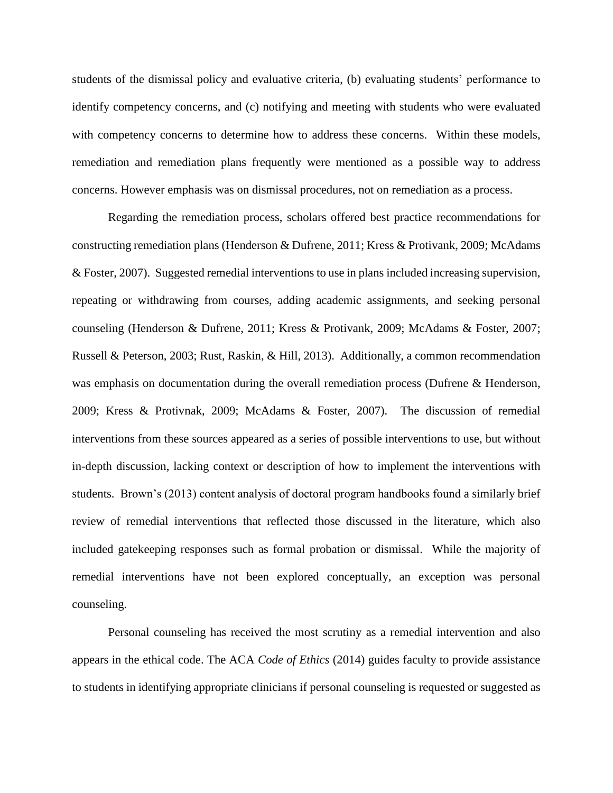students of the dismissal policy and evaluative criteria, (b) evaluating students' performance to identify competency concerns, and (c) notifying and meeting with students who were evaluated with competency concerns to determine how to address these concerns. Within these models, remediation and remediation plans frequently were mentioned as a possible way to address concerns. However emphasis was on dismissal procedures, not on remediation as a process.

Regarding the remediation process, scholars offered best practice recommendations for constructing remediation plans (Henderson & Dufrene, 2011; Kress & Protivank, 2009; McAdams & Foster, 2007). Suggested remedial interventions to use in plans included increasing supervision, repeating or withdrawing from courses, adding academic assignments, and seeking personal counseling (Henderson & Dufrene, 2011; Kress & Protivank, 2009; McAdams & Foster, 2007; Russell & Peterson, 2003; Rust, Raskin, & Hill, 2013). Additionally, a common recommendation was emphasis on documentation during the overall remediation process (Dufrene & Henderson, 2009; Kress & Protivnak, 2009; McAdams & Foster, 2007). The discussion of remedial interventions from these sources appeared as a series of possible interventions to use, but without in-depth discussion, lacking context or description of how to implement the interventions with students. Brown's (2013) content analysis of doctoral program handbooks found a similarly brief review of remedial interventions that reflected those discussed in the literature, which also included gatekeeping responses such as formal probation or dismissal. While the majority of remedial interventions have not been explored conceptually, an exception was personal counseling.

Personal counseling has received the most scrutiny as a remedial intervention and also appears in the ethical code. The ACA *Code of Ethics* (2014) guides faculty to provide assistance to students in identifying appropriate clinicians if personal counseling is requested or suggested as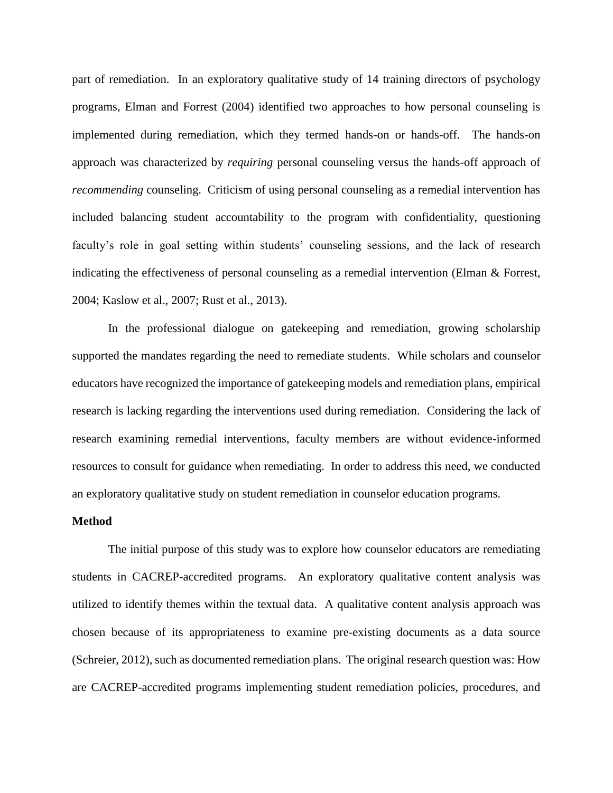part of remediation. In an exploratory qualitative study of 14 training directors of psychology programs, Elman and Forrest (2004) identified two approaches to how personal counseling is implemented during remediation, which they termed hands-on or hands-off. The hands-on approach was characterized by *requiring* personal counseling versus the hands-off approach of *recommending* counseling. Criticism of using personal counseling as a remedial intervention has included balancing student accountability to the program with confidentiality, questioning faculty's role in goal setting within students' counseling sessions, and the lack of research indicating the effectiveness of personal counseling as a remedial intervention (Elman & Forrest, 2004; Kaslow et al., 2007; Rust et al., 2013).

In the professional dialogue on gatekeeping and remediation, growing scholarship supported the mandates regarding the need to remediate students. While scholars and counselor educators have recognized the importance of gatekeeping models and remediation plans, empirical research is lacking regarding the interventions used during remediation. Considering the lack of research examining remedial interventions, faculty members are without evidence-informed resources to consult for guidance when remediating. In order to address this need, we conducted an exploratory qualitative study on student remediation in counselor education programs.

### **Method**

The initial purpose of this study was to explore how counselor educators are remediating students in CACREP-accredited programs. An exploratory qualitative content analysis was utilized to identify themes within the textual data. A qualitative content analysis approach was chosen because of its appropriateness to examine pre-existing documents as a data source (Schreier, 2012), such as documented remediation plans. The original research question was: How are CACREP-accredited programs implementing student remediation policies, procedures, and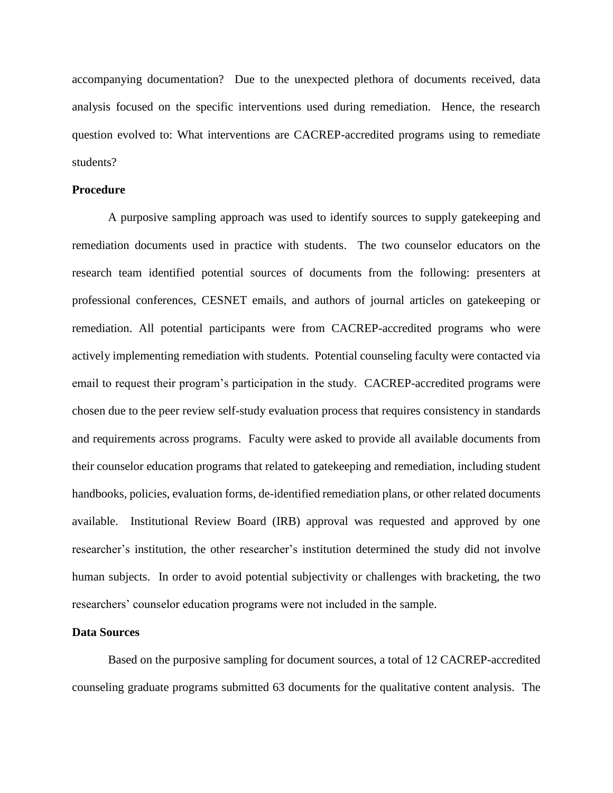accompanying documentation? Due to the unexpected plethora of documents received, data analysis focused on the specific interventions used during remediation. Hence, the research question evolved to: What interventions are CACREP-accredited programs using to remediate students?

# **Procedure**

A purposive sampling approach was used to identify sources to supply gatekeeping and remediation documents used in practice with students. The two counselor educators on the research team identified potential sources of documents from the following: presenters at professional conferences, CESNET emails, and authors of journal articles on gatekeeping or remediation. All potential participants were from CACREP-accredited programs who were actively implementing remediation with students. Potential counseling faculty were contacted via email to request their program's participation in the study. CACREP-accredited programs were chosen due to the peer review self-study evaluation process that requires consistency in standards and requirements across programs. Faculty were asked to provide all available documents from their counselor education programs that related to gatekeeping and remediation, including student handbooks, policies, evaluation forms, de-identified remediation plans, or other related documents available. Institutional Review Board (IRB) approval was requested and approved by one researcher's institution, the other researcher's institution determined the study did not involve human subjects. In order to avoid potential subjectivity or challenges with bracketing, the two researchers' counselor education programs were not included in the sample.

### **Data Sources**

Based on the purposive sampling for document sources, a total of 12 CACREP-accredited counseling graduate programs submitted 63 documents for the qualitative content analysis. The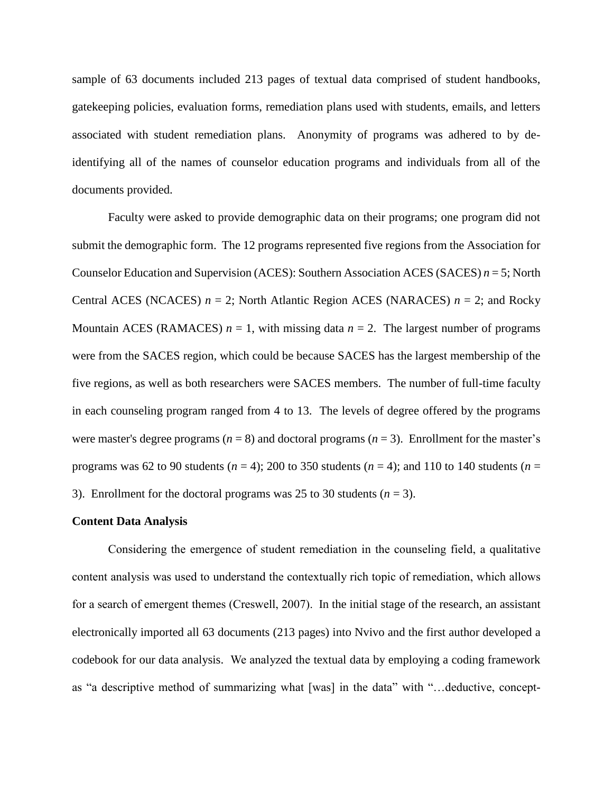sample of 63 documents included 213 pages of textual data comprised of student handbooks, gatekeeping policies, evaluation forms, remediation plans used with students, emails, and letters associated with student remediation plans. Anonymity of programs was adhered to by deidentifying all of the names of counselor education programs and individuals from all of the documents provided.

Faculty were asked to provide demographic data on their programs; one program did not submit the demographic form. The 12 programs represented five regions from the Association for Counselor Education and Supervision (ACES): Southern Association ACES (SACES) *n* = 5; North Central ACES (NCACES)  $n = 2$ ; North Atlantic Region ACES (NARACES)  $n = 2$ ; and Rocky Mountain ACES (RAMACES)  $n = 1$ , with missing data  $n = 2$ . The largest number of programs were from the SACES region, which could be because SACES has the largest membership of the five regions, as well as both researchers were SACES members. The number of full-time faculty in each counseling program ranged from 4 to 13. The levels of degree offered by the programs were master's degree programs  $(n = 8)$  and doctoral programs  $(n = 3)$ . Enrollment for the master's programs was 62 to 90 students ( $n = 4$ ); 200 to 350 students ( $n = 4$ ); and 110 to 140 students ( $n =$ 3). Enrollment for the doctoral programs was 25 to 30 students  $(n = 3)$ .

#### **Content Data Analysis**

Considering the emergence of student remediation in the counseling field, a qualitative content analysis was used to understand the contextually rich topic of remediation, which allows for a search of emergent themes (Creswell, 2007). In the initial stage of the research, an assistant electronically imported all 63 documents (213 pages) into Nvivo and the first author developed a codebook for our data analysis. We analyzed the textual data by employing a coding framework as "a descriptive method of summarizing what [was] in the data" with "…deductive, concept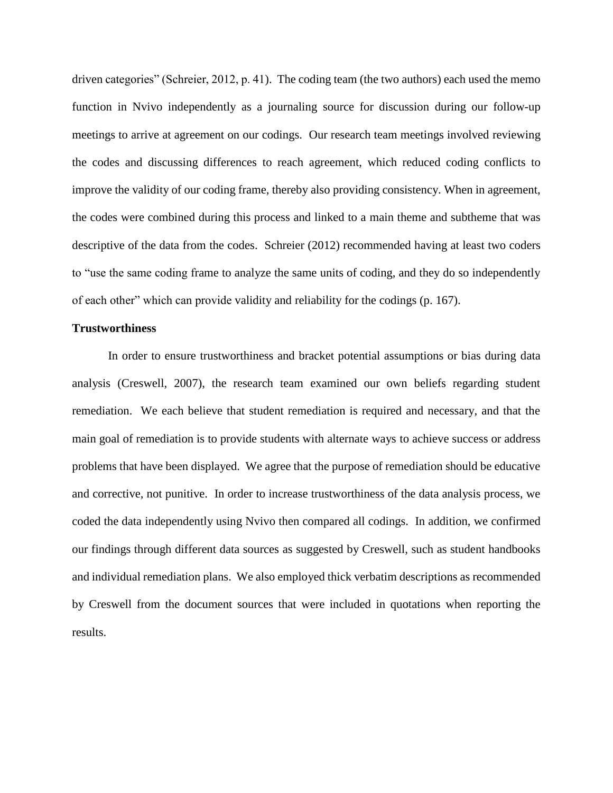driven categories" (Schreier, 2012, p. 41). The coding team (the two authors) each used the memo function in Nvivo independently as a journaling source for discussion during our follow-up meetings to arrive at agreement on our codings. Our research team meetings involved reviewing the codes and discussing differences to reach agreement, which reduced coding conflicts to improve the validity of our coding frame, thereby also providing consistency. When in agreement, the codes were combined during this process and linked to a main theme and subtheme that was descriptive of the data from the codes. Schreier (2012) recommended having at least two coders to "use the same coding frame to analyze the same units of coding, and they do so independently of each other" which can provide validity and reliability for the codings (p. 167).

# **Trustworthiness**

In order to ensure trustworthiness and bracket potential assumptions or bias during data analysis (Creswell, 2007), the research team examined our own beliefs regarding student remediation. We each believe that student remediation is required and necessary, and that the main goal of remediation is to provide students with alternate ways to achieve success or address problems that have been displayed. We agree that the purpose of remediation should be educative and corrective, not punitive. In order to increase trustworthiness of the data analysis process, we coded the data independently using Nvivo then compared all codings. In addition, we confirmed our findings through different data sources as suggested by Creswell, such as student handbooks and individual remediation plans. We also employed thick verbatim descriptions as recommended by Creswell from the document sources that were included in quotations when reporting the results.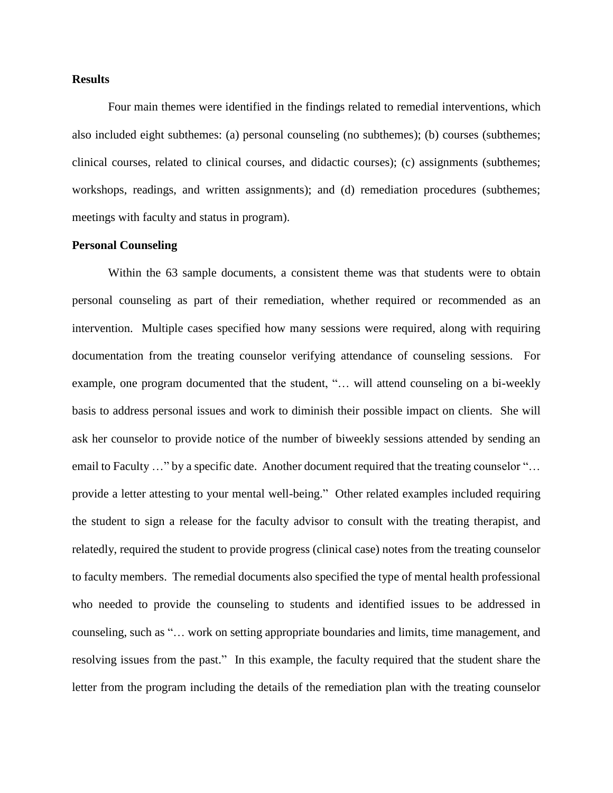# **Results**

Four main themes were identified in the findings related to remedial interventions, which also included eight subthemes: (a) personal counseling (no subthemes); (b) courses (subthemes; clinical courses, related to clinical courses, and didactic courses); (c) assignments (subthemes; workshops, readings, and written assignments); and (d) remediation procedures (subthemes; meetings with faculty and status in program).

# **Personal Counseling**

Within the 63 sample documents, a consistent theme was that students were to obtain personal counseling as part of their remediation, whether required or recommended as an intervention. Multiple cases specified how many sessions were required, along with requiring documentation from the treating counselor verifying attendance of counseling sessions. For example, one program documented that the student, "… will attend counseling on a bi-weekly basis to address personal issues and work to diminish their possible impact on clients. She will ask her counselor to provide notice of the number of biweekly sessions attended by sending an email to Faculty …" by a specific date. Another document required that the treating counselor "… provide a letter attesting to your mental well-being." Other related examples included requiring the student to sign a release for the faculty advisor to consult with the treating therapist, and relatedly, required the student to provide progress (clinical case) notes from the treating counselor to faculty members. The remedial documents also specified the type of mental health professional who needed to provide the counseling to students and identified issues to be addressed in counseling, such as "… work on setting appropriate boundaries and limits, time management, and resolving issues from the past." In this example, the faculty required that the student share the letter from the program including the details of the remediation plan with the treating counselor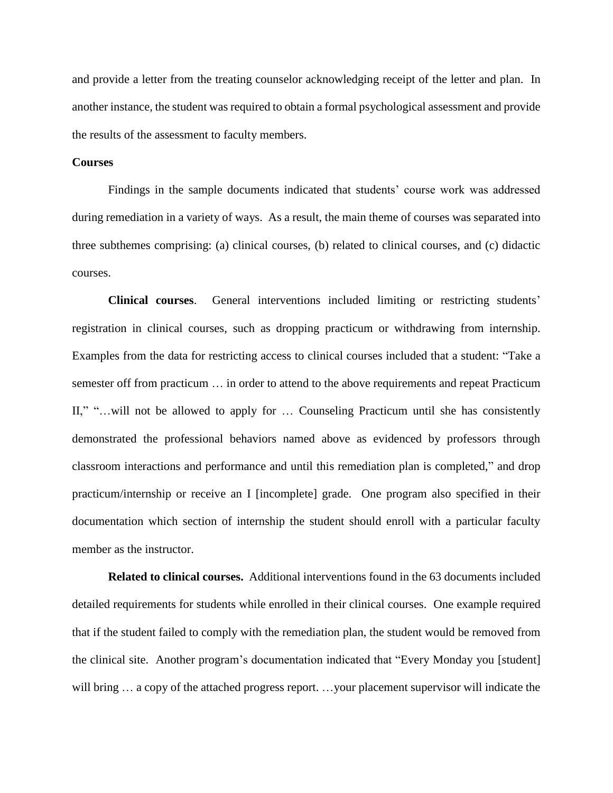and provide a letter from the treating counselor acknowledging receipt of the letter and plan. In another instance, the student was required to obtain a formal psychological assessment and provide the results of the assessment to faculty members.

# **Courses**

Findings in the sample documents indicated that students' course work was addressed during remediation in a variety of ways. As a result, the main theme of courses was separated into three subthemes comprising: (a) clinical courses, (b) related to clinical courses, and (c) didactic courses.

**Clinical courses**. General interventions included limiting or restricting students' registration in clinical courses, such as dropping practicum or withdrawing from internship. Examples from the data for restricting access to clinical courses included that a student: "Take a semester off from practicum … in order to attend to the above requirements and repeat Practicum II," "...will not be allowed to apply for ... Counseling Practicum until she has consistently demonstrated the professional behaviors named above as evidenced by professors through classroom interactions and performance and until this remediation plan is completed," and drop practicum/internship or receive an I [incomplete] grade. One program also specified in their documentation which section of internship the student should enroll with a particular faculty member as the instructor.

**Related to clinical courses.** Additional interventions found in the 63 documents included detailed requirements for students while enrolled in their clinical courses. One example required that if the student failed to comply with the remediation plan, the student would be removed from the clinical site. Another program's documentation indicated that "Every Monday you [student] will bring ... a copy of the attached progress report. ...your placement supervisor will indicate the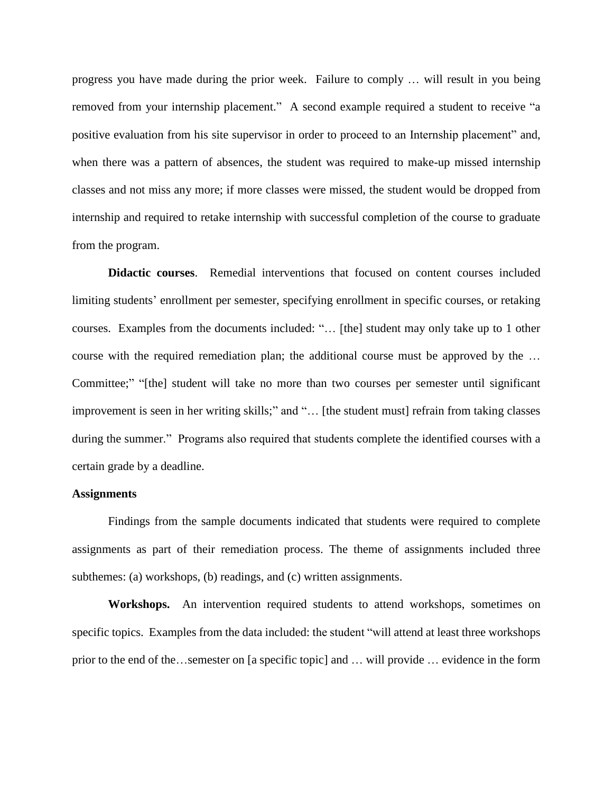progress you have made during the prior week. Failure to comply … will result in you being removed from your internship placement." A second example required a student to receive "a positive evaluation from his site supervisor in order to proceed to an Internship placement" and, when there was a pattern of absences, the student was required to make-up missed internship classes and not miss any more; if more classes were missed, the student would be dropped from internship and required to retake internship with successful completion of the course to graduate from the program.

**Didactic courses**. Remedial interventions that focused on content courses included limiting students' enrollment per semester, specifying enrollment in specific courses, or retaking courses. Examples from the documents included: "… [the] student may only take up to 1 other course with the required remediation plan; the additional course must be approved by the … Committee;" "[the] student will take no more than two courses per semester until significant improvement is seen in her writing skills;" and "... [the student must] refrain from taking classes during the summer." Programs also required that students complete the identified courses with a certain grade by a deadline.

### **Assignments**

Findings from the sample documents indicated that students were required to complete assignments as part of their remediation process. The theme of assignments included three subthemes: (a) workshops, (b) readings, and (c) written assignments.

**Workshops.** An intervention required students to attend workshops, sometimes on specific topics. Examples from the data included: the student "will attend at least three workshops prior to the end of the…semester on [a specific topic] and … will provide … evidence in the form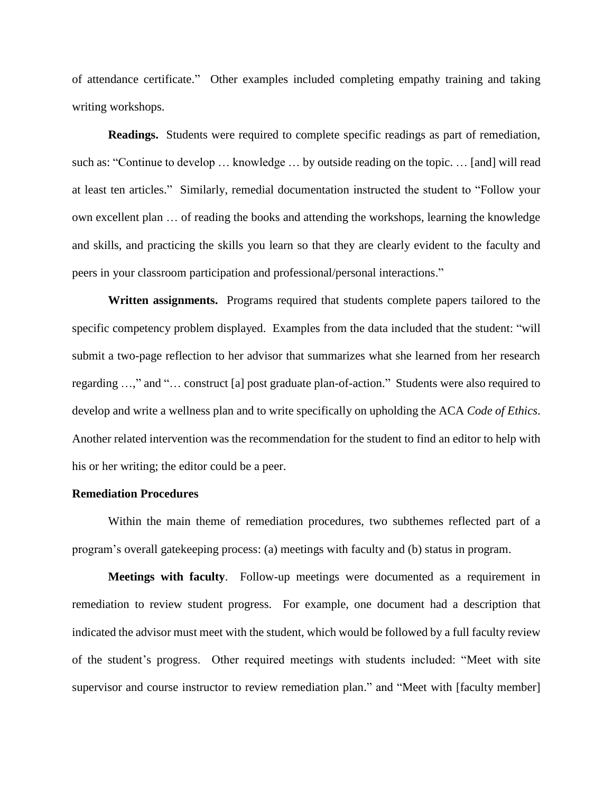of attendance certificate." Other examples included completing empathy training and taking writing workshops.

**Readings.** Students were required to complete specific readings as part of remediation, such as: "Continue to develop … knowledge … by outside reading on the topic. … [and] will read at least ten articles." Similarly, remedial documentation instructed the student to "Follow your own excellent plan … of reading the books and attending the workshops, learning the knowledge and skills, and practicing the skills you learn so that they are clearly evident to the faculty and peers in your classroom participation and professional/personal interactions."

**Written assignments.** Programs required that students complete papers tailored to the specific competency problem displayed. Examples from the data included that the student: "will submit a two-page reflection to her advisor that summarizes what she learned from her research regarding …," and "… construct [a] post graduate plan-of-action." Students were also required to develop and write a wellness plan and to write specifically on upholding the ACA *Code of Ethics*. Another related intervention was the recommendation for the student to find an editor to help with his or her writing; the editor could be a peer.

# **Remediation Procedures**

Within the main theme of remediation procedures, two subthemes reflected part of a program's overall gatekeeping process: (a) meetings with faculty and (b) status in program.

**Meetings with faculty**. Follow-up meetings were documented as a requirement in remediation to review student progress. For example, one document had a description that indicated the advisor must meet with the student, which would be followed by a full faculty review of the student's progress. Other required meetings with students included: "Meet with site supervisor and course instructor to review remediation plan." and "Meet with [faculty member]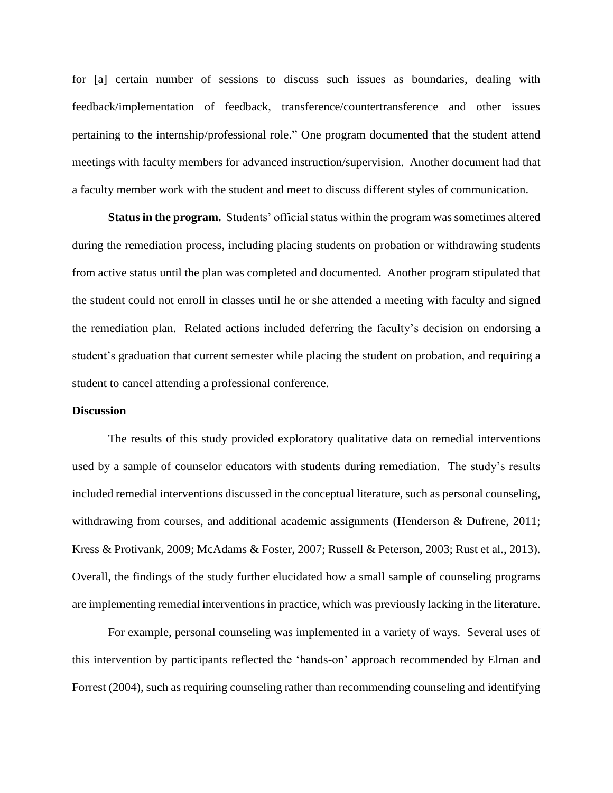for [a] certain number of sessions to discuss such issues as boundaries, dealing with feedback/implementation of feedback, transference/countertransference and other issues pertaining to the internship/professional role." One program documented that the student attend meetings with faculty members for advanced instruction/supervision. Another document had that a faculty member work with the student and meet to discuss different styles of communication.

**Status in the program.** Students' official status within the program was sometimes altered during the remediation process, including placing students on probation or withdrawing students from active status until the plan was completed and documented. Another program stipulated that the student could not enroll in classes until he or she attended a meeting with faculty and signed the remediation plan. Related actions included deferring the faculty's decision on endorsing a student's graduation that current semester while placing the student on probation, and requiring a student to cancel attending a professional conference.

#### **Discussion**

The results of this study provided exploratory qualitative data on remedial interventions used by a sample of counselor educators with students during remediation. The study's results included remedial interventions discussed in the conceptual literature, such as personal counseling, withdrawing from courses, and additional academic assignments (Henderson & Dufrene, 2011; Kress & Protivank, 2009; McAdams & Foster, 2007; Russell & Peterson, 2003; Rust et al., 2013). Overall, the findings of the study further elucidated how a small sample of counseling programs are implementing remedial interventions in practice, which was previously lacking in the literature.

For example, personal counseling was implemented in a variety of ways. Several uses of this intervention by participants reflected the 'hands-on' approach recommended by Elman and Forrest (2004), such as requiring counseling rather than recommending counseling and identifying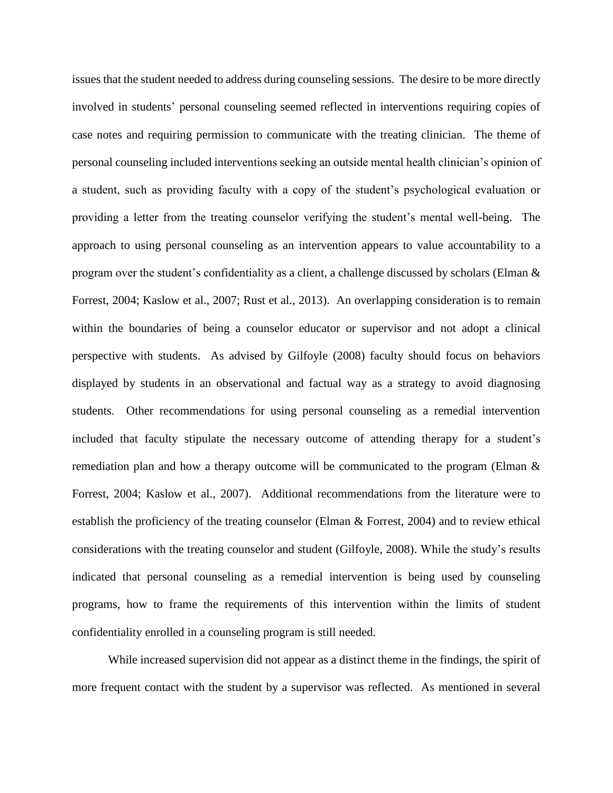issues that the student needed to address during counseling sessions. The desire to be more directly involved in students' personal counseling seemed reflected in interventions requiring copies of case notes and requiring permission to communicate with the treating clinician. The theme of personal counseling included interventions seeking an outside mental health clinician's opinion of a student, such as providing faculty with a copy of the student's psychological evaluation or providing a letter from the treating counselor verifying the student's mental well-being. The approach to using personal counseling as an intervention appears to value accountability to a program over the student's confidentiality as a client, a challenge discussed by scholars (Elman  $\&$ Forrest, 2004; Kaslow et al., 2007; Rust et al., 2013). An overlapping consideration is to remain within the boundaries of being a counselor educator or supervisor and not adopt a clinical perspective with students. As advised by Gilfoyle (2008) faculty should focus on behaviors displayed by students in an observational and factual way as a strategy to avoid diagnosing students. Other recommendations for using personal counseling as a remedial intervention included that faculty stipulate the necessary outcome of attending therapy for a student's remediation plan and how a therapy outcome will be communicated to the program (Elman & Forrest, 2004; Kaslow et al., 2007). Additional recommendations from the literature were to establish the proficiency of the treating counselor (Elman & Forrest, 2004) and to review ethical considerations with the treating counselor and student (Gilfoyle, 2008). While the study's results indicated that personal counseling as a remedial intervention is being used by counseling programs, how to frame the requirements of this intervention within the limits of student confidentiality enrolled in a counseling program is still needed.

While increased supervision did not appear as a distinct theme in the findings, the spirit of more frequent contact with the student by a supervisor was reflected. As mentioned in several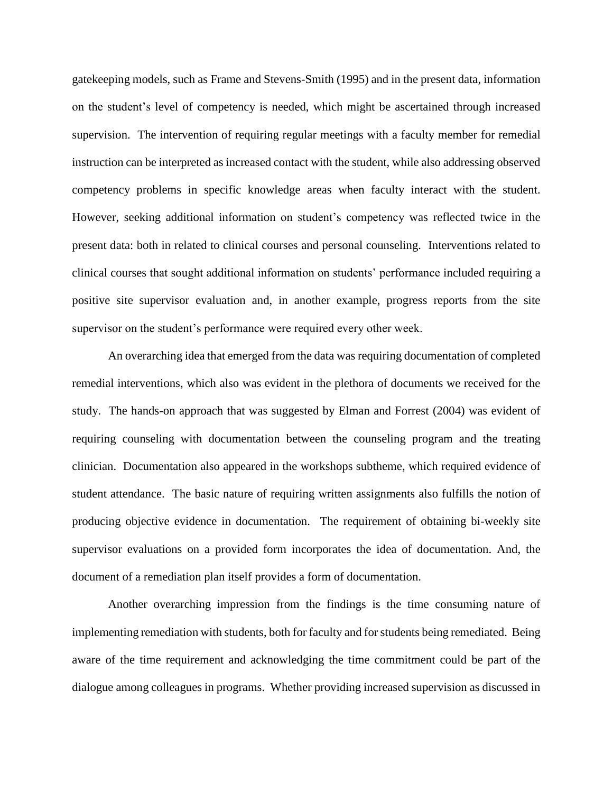gatekeeping models, such as Frame and Stevens-Smith (1995) and in the present data, information on the student's level of competency is needed, which might be ascertained through increased supervision. The intervention of requiring regular meetings with a faculty member for remedial instruction can be interpreted as increased contact with the student, while also addressing observed competency problems in specific knowledge areas when faculty interact with the student. However, seeking additional information on student's competency was reflected twice in the present data: both in related to clinical courses and personal counseling. Interventions related to clinical courses that sought additional information on students' performance included requiring a positive site supervisor evaluation and, in another example, progress reports from the site supervisor on the student's performance were required every other week.

An overarching idea that emerged from the data was requiring documentation of completed remedial interventions, which also was evident in the plethora of documents we received for the study. The hands-on approach that was suggested by Elman and Forrest (2004) was evident of requiring counseling with documentation between the counseling program and the treating clinician. Documentation also appeared in the workshops subtheme, which required evidence of student attendance. The basic nature of requiring written assignments also fulfills the notion of producing objective evidence in documentation. The requirement of obtaining bi-weekly site supervisor evaluations on a provided form incorporates the idea of documentation. And, the document of a remediation plan itself provides a form of documentation.

Another overarching impression from the findings is the time consuming nature of implementing remediation with students, both for faculty and for students being remediated. Being aware of the time requirement and acknowledging the time commitment could be part of the dialogue among colleagues in programs. Whether providing increased supervision as discussed in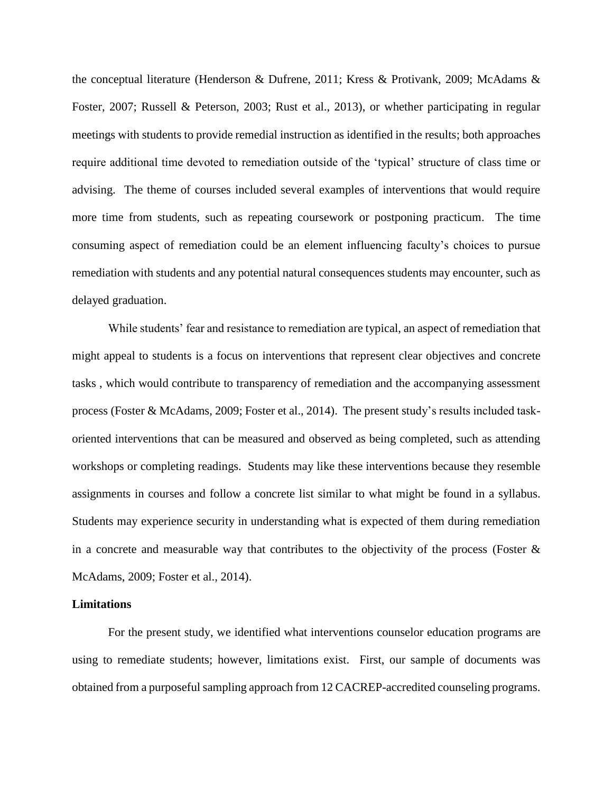the conceptual literature (Henderson & Dufrene, 2011; Kress & Protivank, 2009; McAdams & Foster, 2007; Russell & Peterson, 2003; Rust et al., 2013), or whether participating in regular meetings with students to provide remedial instruction as identified in the results; both approaches require additional time devoted to remediation outside of the 'typical' structure of class time or advising. The theme of courses included several examples of interventions that would require more time from students, such as repeating coursework or postponing practicum. The time consuming aspect of remediation could be an element influencing faculty's choices to pursue remediation with students and any potential natural consequences students may encounter, such as delayed graduation.

While students' fear and resistance to remediation are typical, an aspect of remediation that might appeal to students is a focus on interventions that represent clear objectives and concrete tasks , which would contribute to transparency of remediation and the accompanying assessment process (Foster & McAdams, 2009; Foster et al., 2014). The present study's results included taskoriented interventions that can be measured and observed as being completed, such as attending workshops or completing readings. Students may like these interventions because they resemble assignments in courses and follow a concrete list similar to what might be found in a syllabus. Students may experience security in understanding what is expected of them during remediation in a concrete and measurable way that contributes to the objectivity of the process (Foster  $\&$ McAdams, 2009; Foster et al., 2014).

# **Limitations**

For the present study, we identified what interventions counselor education programs are using to remediate students; however, limitations exist. First, our sample of documents was obtained from a purposeful sampling approach from 12 CACREP-accredited counseling programs.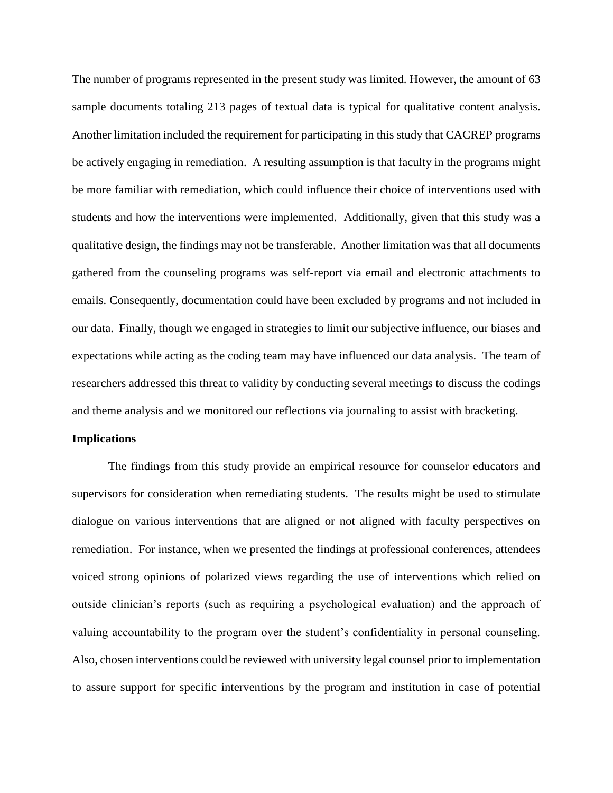The number of programs represented in the present study was limited. However, the amount of 63 sample documents totaling 213 pages of textual data is typical for qualitative content analysis. Another limitation included the requirement for participating in this study that CACREP programs be actively engaging in remediation. A resulting assumption is that faculty in the programs might be more familiar with remediation, which could influence their choice of interventions used with students and how the interventions were implemented. Additionally, given that this study was a qualitative design, the findings may not be transferable. Another limitation was that all documents gathered from the counseling programs was self-report via email and electronic attachments to emails. Consequently, documentation could have been excluded by programs and not included in our data. Finally, though we engaged in strategies to limit our subjective influence, our biases and expectations while acting as the coding team may have influenced our data analysis. The team of researchers addressed this threat to validity by conducting several meetings to discuss the codings and theme analysis and we monitored our reflections via journaling to assist with bracketing.

#### **Implications**

The findings from this study provide an empirical resource for counselor educators and supervisors for consideration when remediating students. The results might be used to stimulate dialogue on various interventions that are aligned or not aligned with faculty perspectives on remediation. For instance, when we presented the findings at professional conferences, attendees voiced strong opinions of polarized views regarding the use of interventions which relied on outside clinician's reports (such as requiring a psychological evaluation) and the approach of valuing accountability to the program over the student's confidentiality in personal counseling. Also, chosen interventions could be reviewed with university legal counsel prior to implementation to assure support for specific interventions by the program and institution in case of potential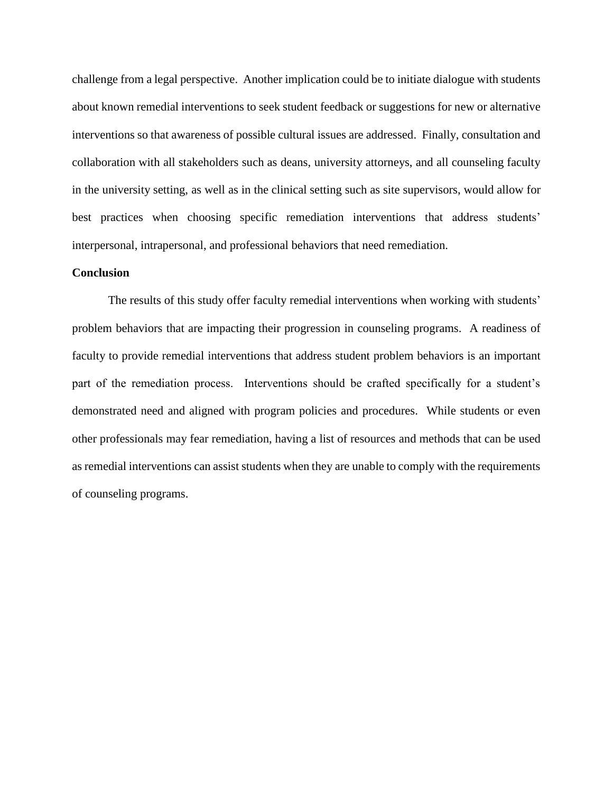challenge from a legal perspective. Another implication could be to initiate dialogue with students about known remedial interventions to seek student feedback or suggestions for new or alternative interventions so that awareness of possible cultural issues are addressed. Finally, consultation and collaboration with all stakeholders such as deans, university attorneys, and all counseling faculty in the university setting, as well as in the clinical setting such as site supervisors, would allow for best practices when choosing specific remediation interventions that address students' interpersonal, intrapersonal, and professional behaviors that need remediation.

# **Conclusion**

The results of this study offer faculty remedial interventions when working with students' problem behaviors that are impacting their progression in counseling programs. A readiness of faculty to provide remedial interventions that address student problem behaviors is an important part of the remediation process. Interventions should be crafted specifically for a student's demonstrated need and aligned with program policies and procedures. While students or even other professionals may fear remediation, having a list of resources and methods that can be used as remedial interventions can assist students when they are unable to comply with the requirements of counseling programs.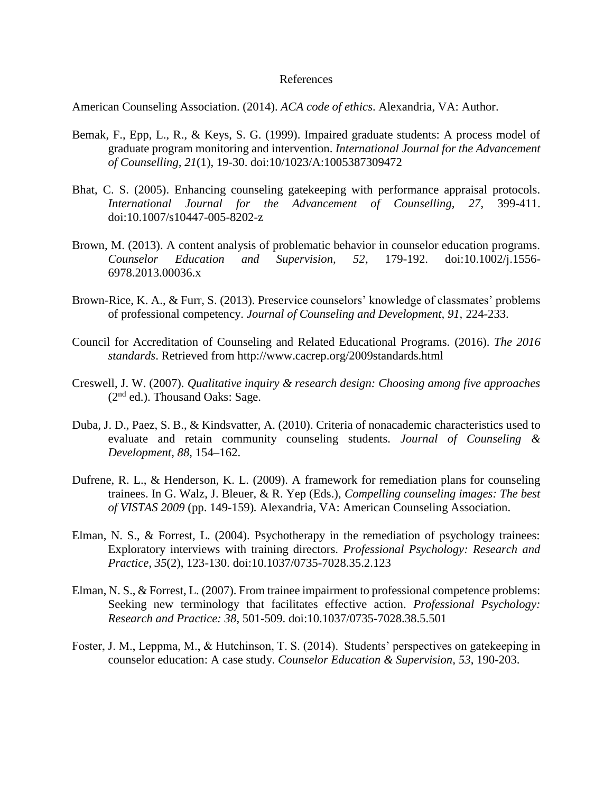# References

American Counseling Association. (2014). *ACA code of ethics*. Alexandria, VA: Author.

- Bemak, F., Epp, L., R., & Keys, S. G. (1999). Impaired graduate students: A process model of graduate program monitoring and intervention. *International Journal for the Advancement of Counselling, 21*(1), 19-30. doi:10/1023/A:1005387309472
- Bhat, C. S. (2005). Enhancing counseling gatekeeping with performance appraisal protocols. *International Journal for the Advancement of Counselling, 27*, 399-411. doi:10.1007/s10447-005-8202-z
- Brown, M. (2013). A content analysis of problematic behavior in counselor education programs. *Counselor Education and Supervision, 52*, 179-192. doi:10.1002/j.1556- 6978.2013.00036.x
- Brown-Rice, K. A., & Furr, S. (2013). Preservice counselors' knowledge of classmates' problems of professional competency. *Journal of Counseling and Development, 91,* 224-233.
- Council for Accreditation of Counseling and Related Educational Programs. (2016). *The 2016 standards*. Retrieved from http://www.cacrep.org/2009standards.html
- Creswell, J. W. (2007). *Qualitative inquiry & research design: Choosing among five approaches*  $(2<sup>nd</sup>$  ed.). Thousand Oaks: Sage.
- Duba, J. D., Paez, S. B., & Kindsvatter, A. (2010). Criteria of nonacademic characteristics used to evaluate and retain community counseling students. *Journal of Counseling & Development, 88,* 154–162.
- Dufrene, R. L., & Henderson, K. L. (2009). A framework for remediation plans for counseling trainees. In G. Walz, J. Bleuer, & R. Yep (Eds.), *Compelling counseling images: The best of VISTAS 2009* (pp. 149-159)*.* Alexandria, VA: American Counseling Association.
- Elman, N. S., & Forrest, L. (2004). Psychotherapy in the remediation of psychology trainees: Exploratory interviews with training directors. *Professional Psychology: Research and Practice, 35*(2), 123-130. doi:10.1037/0735-7028.35.2.123
- Elman, N. S., & Forrest, L. (2007). From trainee impairment to professional competence problems: Seeking new terminology that facilitates effective action. *Professional Psychology: Research and Practice: 38*, 501-509. doi:10.1037/0735-7028.38.5.501
- Foster, J. M., Leppma, M., & Hutchinson, T. S. (2014). Students' perspectives on gatekeeping in counselor education: A case study. *Counselor Education & Supervision, 53*, 190-203.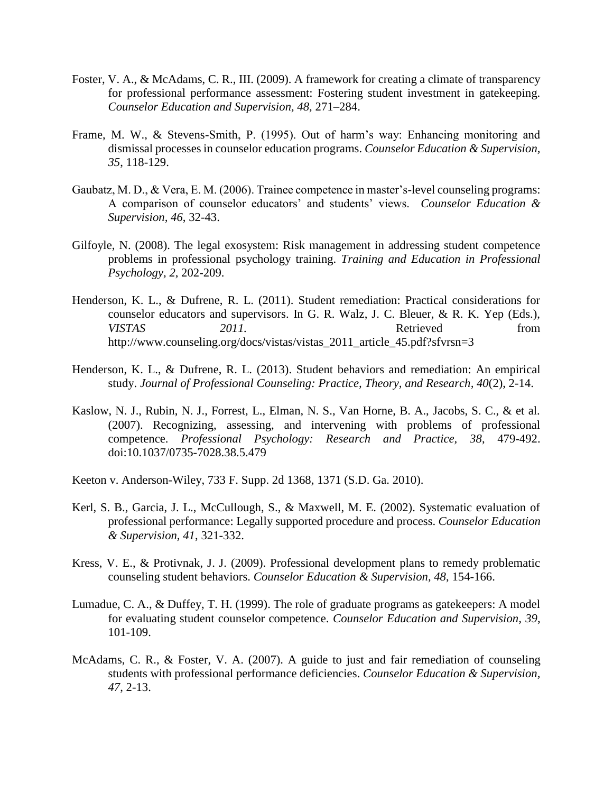- Foster, V. A., & McAdams, C. R., III. (2009). A framework for creating a climate of transparency for professional performance assessment: Fostering student investment in gatekeeping. *Counselor Education and Supervision, 48,* 271–284.
- Frame, M. W., & Stevens-Smith, P. (1995). Out of harm's way: Enhancing monitoring and dismissal processes in counselor education programs. *Counselor Education & Supervision, 35*, 118-129.
- Gaubatz, M. D., & Vera, E. M. (2006). Trainee competence in master's-level counseling programs: A comparison of counselor educators' and students' views. *Counselor Education & Supervision, 46*, 32-43.
- Gilfoyle, N. (2008). The legal exosystem: Risk management in addressing student competence problems in professional psychology training. *Training and Education in Professional Psychology, 2*, 202-209.
- Henderson, K. L., & Dufrene, R. L. (2011). Student remediation: Practical considerations for counselor educators and supervisors. In G. R. Walz, J. C. Bleuer, & R. K. Yep (Eds.), *VISTAS* 2011. 2011. Retrieved from http://www.counseling.org/docs/vistas/vistas\_2011\_article\_45.pdf?sfvrsn=3
- Henderson, K. L., & Dufrene, R. L. (2013). Student behaviors and remediation: An empirical study. *Journal of Professional Counseling: Practice, Theory, and Research, 40*(2), 2-14.
- Kaslow, N. J., Rubin, N. J., Forrest, L., Elman, N. S., Van Horne, B. A., Jacobs, S. C., & et al. (2007). Recognizing, assessing, and intervening with problems of professional competence. *Professional Psychology: Research and Practice, 38*, 479-492. doi:10.1037/0735-7028.38.5.479
- Keeton v. Anderson-Wiley, 733 F. Supp. 2d 1368, 1371 (S.D. Ga. 2010).
- Kerl, S. B., Garcia, J. L., McCullough, S., & Maxwell, M. E. (2002). Systematic evaluation of professional performance: Legally supported procedure and process. *Counselor Education & Supervision, 41*, 321-332.
- Kress, V. E., & Protivnak, J. J. (2009). Professional development plans to remedy problematic counseling student behaviors. *Counselor Education & Supervision, 48*, 154-166.
- Lumadue, C. A., & Duffey, T. H. (1999). The role of graduate programs as gatekeepers: A model for evaluating student counselor competence. *Counselor Education and Supervision, 39*, 101-109.
- McAdams, C. R., & Foster, V. A. (2007). A guide to just and fair remediation of counseling students with professional performance deficiencies. *Counselor Education & Supervision, 47*, 2-13.